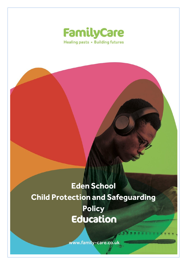

# **Eden School Child Protection and Safeguarding Policy**Education

www.family-care.co.uk Safeguarding Children in Educational Settings

**UN M M M M**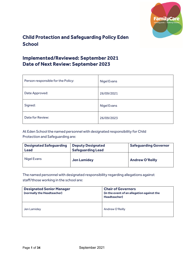

# Child Protection and Safeguarding Policy Eden **School**

# Implemented/Reviewed: September 2021 Date of Next Review: September 2023

| Person responsible for the Policy: | <b>Nigel Evans</b> |
|------------------------------------|--------------------|
| Date Approved:                     | 26/09/2021         |
| Signed:                            | <b>Nigel Evans</b> |
| Date for Review:                   | 26/09/2023         |

At Eden School the named personnel with designated responsibility for Child Protection and Safeguarding are:

| <b>Designated Safequarding</b> | <b>Deputy Designated</b> | <b>Safeguarding Governor</b> |
|--------------------------------|--------------------------|------------------------------|
| Lead                           | <b>Safequarding Lead</b> |                              |

| <b>Lead</b> | <b>Safeguarding Lead</b> |                        |
|-------------|--------------------------|------------------------|
| Nigel Evans | <b>Jen Lamidey</b>       | <b>Andrew O'Reilly</b> |

The named personnel with designated responsibility regarding allegations against staff/those working in the school are:

| <b>Designated Senior Manager</b><br>(normally the Headteacher) | <b>Chair of Governors</b><br>(in the event of an allegation against the<br><b>Headteacher)</b> |
|----------------------------------------------------------------|------------------------------------------------------------------------------------------------|
| Jen Lamidey                                                    | Andrew O'Reilly                                                                                |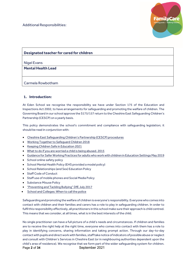

# **Designated teacher for cared for children**

Nigel Evans

**Mental Health Lead**

Carmela Rowbotham

# **1. Introduction:**

At Eden School we recognise the responsibility we have under Section 175 of the Education and Inspections Act 2002, to have arrangements for safeguarding and promoting the welfare of children. The Governing Board in our school approve the S175/157 return to the Cheshire East Safeguarding Children's Partnership (CESCP) on a yearly basis.

This policy demonstrates the school's commitment and compliance with safeguarding legislation; it should be read in conjunction with:

- [Cheshire East Safeguarding Children's Partnership \(CESCP\) procedures](https://www.proceduresonline.com/pancheshire/cheshire_east/index.html)
- [Working Together to Safeguard Children 2018](https://assets.publishing.service.gov.uk/government/uploads/system/uploads/attachment_data/file/729914/Working_Together_to_Safeguard_Children-2018.pdf)
- [Keeping Children Safe in Education 2021](https://assets.publishing.service.gov.uk/government/uploads/system/uploads/attachment_data/file/1007260/Keeping_children_safe_in_education_2021.pdf)
- [What to do if you are worried a child is being abused. 2015](https://assets.publishing.service.gov.uk/government/uploads/system/uploads/attachment_data/file/419604/What_to_do_if_you_re_worried_a_child_is_being_abused.pdf)
- [Guidance for Safer Working Practices for adults who work with children in Education Settings](https://c-cluster-110.uploads.documents.cimpress.io/v1/uploads/13ecce28-e8f2-49e9-83c6-c29337cd8071%7E110/original?tenant=vbu-digital) May 2019
- School online safety policy
- School Mental Health Policy (EHS provided a model policy)
- School Relationships (and Sex) Education Policy
- Staff Code of Conduct
- Staff use of mobile phones and Social Media Policy
- Substance Misuse Policy
- ["Preventing and Tackling Bullying" DfE July 2017](https://assets.publishing.service.gov.uk/government/uploads/system/uploads/attachment_data/file/623895/Preventing_and_tackling_bullying_advice.pdf)
- [School and Colleges: When to call the police](https://www.npcc.police.uk/documents/Children%20and%20Young%20people/When%20to%20call%20the%20police%20guidance%20for%20schools%20and%20colleges.pdf)

Safeguarding and promoting the welfare of children is everyone's responsibility. Everyone who comes into contact with children and their families and carers has a role to play in safeguarding children. In order to fulfil this responsibility effectively, all practitioners in this school make sure their approach is child centred. This means that we consider, at all times, what is in the best interests of the child.

Page 2 of 34 September 2021 No single practitioner can have a full picture of a child's needs and circumstances. If children and families are to receive the right help at the right time, everyone who comes into contact with them has a role to play in identifying concerns, sharing information and taking prompt action. Through our day-to-day contact with pupils and direct work with families, staff take notice of indicators of possible abuse or neglect and consult with Children's Services in Cheshire East (or in neighbouring authorities dependent upon the child's area of residence). We recognise that we form part of the wider safeguarding system for children.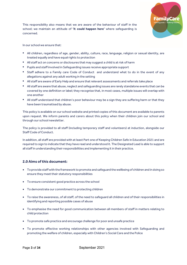

This responsibility also means that we are aware of the behaviour of staff in the school; we maintain an attitude of **'it could happen here'** where safeguarding is concerned.

In our school we ensure that:

- **•** All children, regardless of age, gender, ability, culture, race, language, religion or sexual identity, are treated equally and have equal rights to protection
- **•** All staff act on concerns or disclosures that may suggest a child is at risk of harm
- **•** Pupils and staff involved in Safeguarding issues receive appropriate support
- **•** Staff adhere to a Family care Code of Conduct and understand what to do in the event of any allegations against any adult working in the setting
- **•** All staff are aware of Early Help and ensure that relevant assessments and referrals take place
- **•** All staff are aware that abuse, neglect and safeguarding issues are rarely standalone events that can be covered by one definition or label; they recognise that, in most cases, multiple issues will overlap with one another
- **•** All staff understand that children's poor behaviour may be a sign they are suffering harm or that they have been traumatised by abuse.

This policy is available on our school website and printed copies of this document are available to parents upon request. We inform parents and carers about this policy when their children join our school and through our school newsletter.

The policy is provided to all staff (including temporary staff and volunteers) at induction, alongside our Staff Code of Conduct.

In addition, all staff are provided with at least Part one of Keeping Children Safe in Education 2021 and are required to sign to indicate that they have read and understood it. The Designated Lead is able to support all staff in understanding their responsibilities and implementing it in their practice.

# **2.0 Aims of this document:**

- To provide staff with the framework to promote and safeguard the wellbeing of children and in doing so ensure they meet their statutory responsibilities
- To ensure consistent good practice across the school
- To demonstrate our commitment to protecting children
- To raise the awareness, of all staff, of the need to safeguard all children and of their responsibilities in identifying and reporting possible cases of abuse
- To emphasise the need for good communication between all members of staff in matters relating to child protection
- To promote safe practice and encourage challenge for poor and unsafe practice
- To promote effective working relationships with other agencies involved with Safeguarding and promoting the welfare of children, especially with Children's Social Care and the Police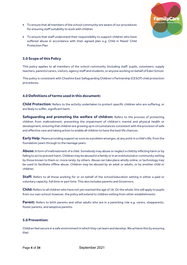

- To ensure that all members of the school community are aware of our procedures for ensuring staff suitability to work with children
- To ensure that staff understand their responsibility to support children who have suffered abuse in accordance with their agreed plan e.g. Child in Need/ Child Protection Plan

# **3.0 Scope of this Policy**

This policy applies to all members of the school community (including staff, pupils, volunteers, supply teachers, parents/carers, visitors, agency staff and students, or anyone working on behalf of Eden School.

This policy is consistent with Cheshire East Safeguarding Children's Partnership (CESCP) child protection procedures.

## **4.0 Definitions of terms used in this document:**

**Child Protection:** Refers to the activity undertaken to protect specific children who are suffering, or are likely to suffer, significant harm.

**Safeguarding and promoting the welfare of children:** Refers to the process of protecting children from maltreatment, preventing the impairment of children's mental and physical health or development, ensuring that children are growing up in circumstances consistent with the provision of safe and effective care and taking action to enable all children to have the best life chances.

**Early Help**: Means providing support as soon as a problem emerges, at any point in a child's life, from the foundation years through to the teenage years.

**Abuse:** A form of maltreatment of a child. Somebody may abuse or neglect a child by inflicting harm or by failing to act to prevent harm. Children may be abused in a family or in an institutional or community setting by those known to them or, more rarely, by others. Abuse can take place wholly online, or technology may be used to facilitate offline abuse. Children may be abused by an adult or adults, or by another child or children.

**Staff:** Refers to all those working for or on behalf of the school/education setting in either a paid or voluntary capacity, full time or part time. This also includes parents and Governors.

**Child:** Refers to all children who have not yet reached the age of 18. On the whole, this will apply to pupils from our own school; however, the policy will extend to children visiting from other establishments

**Parent:** Refers to birth parents and other adults who are in a parenting role e.g. carers, stepparents, foster parents, and adoptive parents.

## **5.0 Prevention:**

Children feel secure in a safe environment in which they can learn and develop. We achieve this by ensuring that: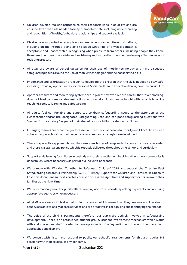• Children develop realistic attitudes to their responsibilities in adult life and are equipped with the skills needed to keep themselves safe; including understanding and recognition of healthy/unhealthy relationships and support available



- Children are supported in recognising and managing risks in different situations, including on the internet; being able to judge what kind of physical contact is acceptable and unacceptable, recognising when pressure from others, including people they know, threatens their personal safety and well-being and supporting them in developing effective ways of resisting pressure
- All staff are aware of school guidance for their use of mobile technology and have discussed safeguarding issues around the use of mobile technologies and their associated risks
- Importance and prioritisation are given to equipping the children with the skills needed to stay safe, including providing opportunities for Personal, Social and Health Education throughout the curriculum
- Appropriate filters and monitoring systems are in place; however, we are careful that "over blocking" does not lead to unreasonable restrictions as to what children can be taught with regards to online teaching, remote learning and safeguarding
- All adults feel comfortable and supported to draw safeguarding issues to the attention of the Headteacher and/or the Designated Safeguarding Lead and can pose safeguarding questions with "respectful uncertainty" as part of their shared responsibility to safeguard children
- Emerging themes are proactively addressed and fed back to the local authority and CESCP to ensure a coherent approach so that multi-agency awareness and strategies are developed
- There is a proactive approach to substance misuse. Issues of drugs and substance misuse are recorded and there is a standalone policy which is robustly delivered throughout the school and curriculum
- Support and planning for children in custody and their resettlement back into the school community is undertaken, where necessary, as part of our inclusive approach
- We comply with 'Working Together to Safeguard Children' 2018 and support the Cheshire East Safeguarding Children's Partnership (CESCP) [Timely Support for Children and Families in Cheshire](https://www.cescp.org.uk/pdf/timely-support-for-families-in-ce-guidance-on-thresholds-of-need-october-2018.pdf)  [East,](https://www.cescp.org.uk/pdf/timely-support-for-families-in-ce-guidance-on-thresholds-of-need-october-2018.pdf) this document supports professionals to access the **right help and support** for children and their families at the **right time**
- We systematically monitor pupil welfare, keeping accurate records, speaking to parents and notifying appropriate agencies when necessary
- All staff are aware of children with circumstances which mean that they are more vulnerable to abuse/less able to easily access services and are proactive in recognising and identifying their needs
- The voice of the child is paramount; therefore, our pupils are actively involved in safeguarding development. There is an established student group/ student involvement mechanism which works with and challenges staff in order to develop aspects of safeguarding e.g. through the curriculum, approaches and displays
- We consult with, listen and respond to pupils; our school's arrangements for this are regular 1-1 sessions with staff to discuss any concerns.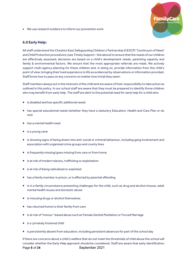• We use research evidence to inform our prevention work

## **6.0 Early Help:**

All staff understand the Cheshire East Safeguarding Children's Partnership (CESCP) 'Continuum of Need' and Child Protection procedures; (see Timely Support – link above) to ensure that the needs of our children are effectively assessed; decisions are based on a child's development needs, parenting capacity and family & environmental factors. We ensure that the most appropriate referrals are made. We actively support multi agency planning for these children and, in doing so, provide information from the child's point of view; bringing their lived experience to life as evidenced by observations or information provided. Staff know how to pass on any concerns no matter how trivial they seem.

Staff members always act in the interests of the child and are aware of their responsibility to take action as outlined in this policy. In our school staff are aware that they must be prepared to identify those children who may benefit from early help. The staff are alert to the potential need for early help for a child who:

- is disabled and has specific additional needs
- has special educational needs (whether they have a statutory Education, Health and Care Plan or do not)
- has a mental health need
- is a young carer
- is showing signs of being drawn into anti-social or criminal behaviour, including gang involvement and association with organised crime groups and county lines
- is frequently missing/goes missing from care or from home
- is at risk of modern slavery, trafficking or exploitation
- is at risk of being radicalised or exploited
- has a family member in prison, or is affected by parental offending
- is in a family circumstance presenting challenges for the child, such as drug and alcohol misuse, adult mental health issues and domestic abuse
- is misusing drugs or alcohol themselves
- has returned home to their family from care
- is at risk of 'honour'-based abuse such as Female Genital Mutilation or Forced Marriage
- is a 'privately fostered child'
- is persistently absent from education, including persistent absences for part of the school day

Page **6** of **34** September 2021 If there are concerns about a child's welfare that do not meet the thresholds of child abuse the school will consider whether the Early Help approach should be considered. Staff are aware that early identification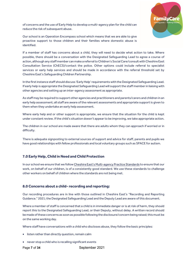

Our school is an Operation Encompass school which means that we are able to give proactive support to those children and their families where domestic abuse is identified.

If a member of staff has concerns about a child, they will need to decide what action to take. Where possible, there should be a conversation with the Designated Safeguarding Lead to agree a course of action, although any staff member can make a referral to Children's Social Care/consult with Cheshire East Consultation Service (ChECS)/contact the police. Other options could include referral to specialist services or early help services and should be made in accordance with the referral threshold set by Cheshire East's Safeguarding Children Partnership.

In the first instance staff should discuss 'Early Help' requirements with the Designated Safeguarding Lead. If early help is appropriate the Designated Safeguarding Lead will support the staff member in liaising with other agencies and setting up an inter-agency assessment as appropriate.

As staff may be required to support other agencies and practitioners and parents/carers and children in an early help assessment; all staff are aware of the relevant assessments and appropriate support is given to them when they undertake an early help assessment.

Where early help and or other support is appropriate, we ensure that the situation for the child is kept under constant review. If the child's situation doesn't appear to be improving, we take appropriate action.

The children in our school are made aware that there are adults whom they can approach if worried or in difficulty.

There is adequate signposting to external sources of support and advice for staff, parents and pupils we have good relationships with fellow professionals and local voluntary groups such as SPACE for autism.

# **7.0 Early Help, Child in Need and Child Protection**

In our school we ensure that we follo[w Cheshire East's Multi-agency Practice Standards](https://www.cescp.org.uk/pdf/multi-agency-practice-standards-april-2016.pdf) to ensure that our work, on behalf of our children, is of a consistently good standard. We use these standards to challenge other workers on behalf of children where the standards are not being met.

## **8.0 Concerns about a child- recording and reporting:**

Our recording procedures are in line with those outlined in Cheshire East's "Recording and Reporting Guidance." 2021; the Designated Safeguarding Lead and the Deputy Lead are aware of this document.

Where a member of staff is concerned that a child is in immediate danger or is at risk of harm, they should report this to the Designated Safeguarding Lead, or their Deputy, without delay. A written record should be made of these concerns as soon as possible following the disclosure/concern being raised; this must be on the same working day.

Where staff have conversations with a child who discloses abuse, they follow the basic principles:

- listen rather than directly question, remain calm
- never stop a child who is recalling significant events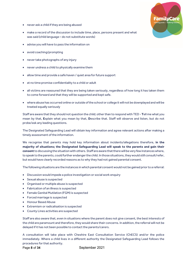

- never ask a child if they are being abused
- make a record of the discussion to include time, place, persons present and what was said (child language – do not substitute words)
- advise you will have to pass the information on
- avoid coaching/prompting
- never take photographs of any injury
- never undress a child to physically examine them
- allow time and provide a safe haven / quiet area for future support
- at no time promise confidentiality to a child or adult
- all victims are reassured that they are being taken seriously, regardless of how long it has taken them to come forward and that they will be supported and kept safe.
- where abuse has occurred online or outside of the school or college it will not be downplayed and will be treated equally seriously

Staff are aware that they should not question the child; other than to respond with TED - **T**ell me what you mean by that, **E**xplain what you mean by that, **D**escribe that. Staff will observe and listen, but do not probe/ask any leading questions.

The Designated Safeguarding Lead will obtain key information and agree relevant actions after making a timely assessment of the information.

We recognise that parents may hold key information about incidents/allegations therefore, **in the majority of situations; the Designated Safeguarding Lead will speak to the parents and gain their consent** to discussing the situationwith others. Staff are aware that there will be very few instances where, to speak to the parents, could further endanger the child. In those situations,they would still consult/refer, but would have clearly recorded reasons as to why they had not gained parental consent.

The following situations are the instances in which parental consent would not be gained prior to a referral:

- Discussion would impede a police investigation or social work enquiry
- Sexual abuse is suspected
- Organised or multiple abuse is suspected
- Fabrication of an illness is suspected
- Female Genital Mutilation (FGM) is suspected
- Forced marriage is suspected
- Honour Based Abuse
- Extremism or radicalisation is suspected
- County Lines activities are suspected

Staff are also aware that, even in situations where the parent does not give consent, the best interests of the child are paramount and therefore, they would share their concerns. In addition, the referral will not be delayed if it has not been possible to contact the parents/carers.

A consultation will take place with Cheshire East Consultation Service (ChECS) and/or the police immediately. Where a child lives in a different authority the Designated Safeguarding Lead follows the procedures for that authority.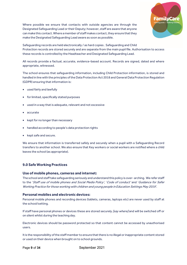

Where possible we ensure that contacts with outside agencies are through the Designated Safeguarding Lead or their Deputy; however, staff are aware that anyone can make this contact. Where a member of staff makes contact, they ensure that they make the Designated Safeguarding Lead aware as soon as possible.

Safeguarding records are held electronically / as hard copies . Safeguarding and Child Protection records are stored securely and are separate from the main pupil file. Authorisation to access these records is controlled by the Headteacher and Designated Safeguarding Lead.

All records provide a factual, accurate, evidence-based account. Records are signed, dated and where appropriate, witnessed.

The school ensures that safeguarding information, including Child Protection information, is stored and handled in line with the principles of the Data Protection Act 2018 and General Data Protection Regulation (GDPR) ensuring that information is:

- used fairly and lawfully
- for limited, specifically stated purposes
- used in a way that is adequate, relevant and not excessive
- accurate
- kept for no longer than necessary
- handled according to people's data protection rights
- kept safe and secure.

We ensure that information is transferred safely and securely when a pupil with a Safeguarding Record transfers to another school. We also ensure that Key workers or social workers are notified where a child leaves the school (as appropriate).

# **9.0 Safe Working Practices**

## **Use of mobile phones, cameras and internet:**

The school and staff take safeguarding seriously and understand this policy is over- arching. We refer staff to the 'Staff use of mobile phones and Social Media Policy', 'Code of conduct' and 'Guidance for Safer Working Practice for those working with children and young people in Education Settings May 2019'.

## **Personal mobiles and electronic devices:**

Personal mobile phones and recording devices (tablets, cameras, laptops etc) are never used by staff at the school/setting.

If staff have personal phones or devices these are stored securely [say where] and will be switched off or on silent whilst during the teaching day.

Electronic devices should be password protected so that content cannot be accessed by unauthorised users.

It is the responsibility of the staff member to ensure that there is no illegal or inappropriate content stored or used on their device when brought on to school grounds.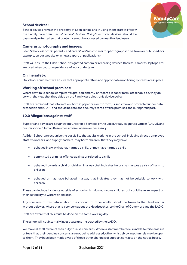

# **School devices:**

School devices remain the property of Eden school and in using them staff will follow the 'Family care Staff use of School devices Policy' Electronic devices should be password protected so that content cannot be accessed by unauthorised users.

## **Cameras, photography and images:**

Eden School will obtain parents' and carers' *written consent* for photographs to be taken or published (for example, on our website or in newspapers or publications).

Staff will ensure the Eden School designated camera or recording devices (tablets, cameras, laptops etc) are used when capturing evidence of work undertaken.

# **Online safety:**

On school equipment we ensure that appropriate filters and appropriate monitoring systems are in place.

## **Working off school premises:**

Where staff take school computer/digital equipment / or records in paper form, off school site, they do so with the view that they abide by the Family care electronic device policy.

Staff are reminded that information, both in paper or electric form, is sensitive and protected under data protection and GDPR and should be safe and securely stored off the premises and during transport.

## **10.0 Allegations against staff**

Support and advice are sought from Children's Services or the Local Area Designated Officer (LADO), and our Personnel/Human Resources advisor whenever necessary.

At Eden School we recognise the possibility that adults working in the school; including directly employed staff, volunteers, and supply teachers, may harm children; that they may have

- behaved in a way that has harmed a child, or may have harmed a child
- committed a criminal offence against or related to a child
- behaved towards a child or children in a way that indicates he or she may pose a risk of harm to children
- behaved or may have behaved in a way that indicates they may not be suitable to work with children.

These can include incidents outside of school which do not involve children but could have an impact on their suitability to work with children

Any concerns of this nature, about the conduct of other adults, should be taken to the Headteacher without delay or, where that is a concern about the Headteacher, to the Chair of Governors and the LADO.

Staff are aware that this must be done on the same working day.

The school will not internally investigate until instructed by the LADO.

We make all staff aware of their duty to raise concerns. Where a staff member feels unable to raise an issue or feels that their genuine concerns are not being addressed, other whistleblowing channels may be open to them. They have been made aware of those other channels of support contacts on the notice board.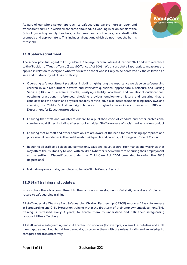

As part of our whole school approach to safeguarding we promote an open and transparent culture in which all concerns about adults working in or on behalf of the School (including supply teachers, volunteers and contractors) are dealt with promptly and appropriately. This includes allegations which do not meet the harms threshold.

# **11.0 Safer Recruitment**

The school pays full regard to DfE guidance 'Keeping Children Safe in Education' 2021 and with reference to the 'Position of Trust' offence (Sexual Offences Act 2003). We ensure that all appropriate measures are applied in relation to everyone who works in the school who is likely to be perceived by the children as a safe and trustworthy adult. We do this by:

- Operating safe recruitment practices; including highlighting the importance we place on safeguarding children in our recruitment adverts and interview questions, appropriate Disclosure and Barring Service (DBS) and reference checks, verifying identity, academic and vocational qualifications, obtaining practitioner references, checking previous employment history and ensuring that a candidate has the health and physical capacity for the job. It also includes undertaking interviews and checking the Children's List and right to work in England checks in accordance with DBS and Department for Education procedures
- Ensuring that staff and volunteers adhere to a published code of conduct and other professional standards at all times, including after school activities. Staff are aware of social media/ on-line conduct
- Ensuring that all staff and other adults on site are aware of the need for maintaining appropriate and professional boundaries in their relationship with pupils and parents, following our Code of Conduct
- Requiring all staff to disclose any convictions, cautions, court orders, reprimands and warnings that may affect their suitability to work with children (whether received before or during their employment at the setting). Disqualification under the Child Care Act 2006 (amended following the 2018 Regulations)
- Maintaining an accurate, complete, up to date Single Central Record

# **12.0 Staff training and updates:**

In our school there is a commitment to the continuous development of all staff, regardless of role, with regard to safeguarding training:

All staff undertake Cheshire East Safeguarding Children Partnership (CESCP) 'endorsed' Basic Awareness in Safeguarding and Child Protection training within the first term of their employment/placement. This training is refreshed every 3 years; to enable them to understand and fulfil their safeguarding responsibilities effectively.

All staff receive safeguarding and child protection updates (for example, via email, e-bulletins and staff meetings), as required, but at least annually, to provide them with the relevant skills and knowledge to safeguard children effectively.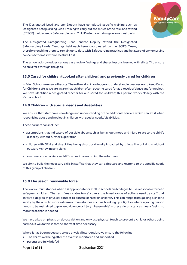

The Designated Lead and any Deputy have completed specific training such as Designated Safeguarding Lead Training to carry out the duties of the role, and attend (CESCP) multi agency Safeguarding and Child Protection training on an annual basis.

The Designated Safeguarding Lead, and/or Deputy attend the Designated Safeguarding Leads Meetings held each term coordinated by the SCiES Team, therefore enabling them to remain up to date with Safeguarding practices and be aware of any emerging concerns/themes within Cheshire East.

The school acknowledges serious case review findings and shares lessons learned with all staff to ensure no child falls through the gaps.

# **13.0 Cared for children (Looked after children) and previously cared for children**

In Eden School we ensure that staff have the skills, knowledge and understanding necessary to keep Cared for Children safe as we are aware that children often become cared for as a result of abuse and/or neglect. We have identified a designated teacher for our Cared for Children; this person works closely with the Virtual school.

## **14.0 Children with special needs and disabilities**

We ensure that staff have knowledge and understanding of the additional barriers which can exist when recognising abuse and neglect in children with special needs/disabilities.

These barriers can include:

- assumptions that indicators of possible abuse such as behaviour, mood and injury relate to the child's disability without further exploration
- children with SEN and disabilities being disproportionally impacted by things like bullying without outwardly showing any signs
- **•** communication barriers and difficulties in overcoming these barriers

We aim to build the necessary skills in staff so that they can safeguard and respond to the specific needs of this group of children.

## **15.0 The use of 'reasonable force'**

There are circumstances when it is appropriate for staff in schools and colleges to use reasonable force to safeguard children. The term 'reasonable force' covers the broad range of actions used by staff that involve a degree of physical contact to control or restrain children. This can range from guiding a child to safety by the arm, to more extreme circumstances such as breaking up a fight or where a young person needs to be restrained to prevent violence or injury. 'Reasonable' in these circumstances means 'using no more force than is needed'.

We have a key emphasis on de-escalation and only use physical touch to prevent a child or others being harmed. If we do this is for the shortest time necessary.

Where it has been necessary to use physical intervention, we ensure the following:

- The child's wellbeing after the event is monitored and supported
- parents are fully briefed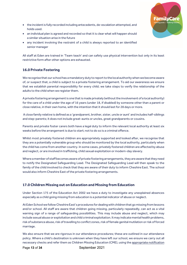

- the incident is fully recorded including antecedents, de-escalation attempted, and holds used.
- an individual plan is agreed and recorded so that it is clear what will happen should a similar situation arise in the future
- any incident involving the restraint of a child is always reported to an identified senior manager

All staff at Eden are trained in 'Team teach' and can safety use physical intervention but only in its least restrictive form after other options are exhausted.

# **16.0 Private Fostering**

We recognise that our school has a mandatory duty to report to the local authority when we become aware of, or suspect that, a child is subject to a private fostering arrangement. To aid our awareness we ensure that we establish parental responsibility for every child; we take steps to verify the relationship of the adults to the child when we register them.

A private fostering arrangement is one that is made privately (without the involvement of a local authority) for the care of a child under the age of 16 years (under 18, if disabled) by someone other than a parent or close relative, in their own home, with the intention that it should last for 28 days or more.

A close family relative is defined as a 'grandparent, brother, sister, uncle or aunt' and includes half-siblings and step-parents; it does not include great-aunts or uncles, great grandparents or cousins.

Parents and private foster carers both have a legal duty to inform the relevant local authority at least six weeks before the arrangement is due to start; not to do so is a criminal offence.

Whilst most privately fostered children are appropriately supported and looked after, we recognise that they are a potentially vulnerable group who should be monitored by the local authority, particularly when the child has come from another country. In some cases, privately fostered children are affected by abuse and neglect, or are involved in trafficking, child sexual exploitation or modern-day slavery.

Where a member of staff becomes aware of private fostering arrangements, they are aware that they need to notify the Designated Safeguarding Lead. The Designated Safeguarding Lead will then speak to the family of the child involved to check that they are aware of their duty to inform Cheshire East. The school would also inform Cheshire East of the private fostering arrangements.

# **17.0 Children Missing out on Education and Missing from Education**

Under Section 175 of the Education Act 2002 we have a duty to investigate any unexplained absences especially as a child going missing from education is a potential indicator of abuse or neglect.

At Eden Schoolwe follow Cheshire East's procedures for dealing with children that go missing from lessons and/or school. All staff are aware that children going missing, particularly repeatedly, can act as a vital warning sign of a range of safeguarding possibilities. This may include abuse and neglect, which may include sexual abuse or exploitation and child criminal exploitation. It may indicate mental health problems, risk of substance abuse, risk of travelling to conflict zones, risk of female genital mutilation or risk of forced marriage.

We also ensure that we are rigorous in our attendance procedures; these are outlined in our attendance policy. Where a child's destination is unknown when they have left our school, we ensure we carry out all necessary checks and refer them as Children Missing Education (CME), using th[e appropriate](https://www.cheshireeast.gov.uk/schools/school-attendance/children-missing-education.aspx) notification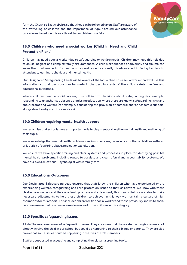

[form](https://www.cheshireeast.gov.uk/schools/school-attendance/children-missing-education.aspx) the Cheshire East website, so that they can be followed up on. Staff are aware of the trafficking of children and the importance of rigour around our attendance procedures to reduce this as a threat to our children's safety.

# **18.0 Children who need a social worker (Child in Need and Child Protection Plans)**

Children may need a social worker due to safeguarding or welfare needs. Children may need this help due to abuse, neglect and complex family circumstances. A child's experiences of adversity and trauma can leave them vulnerable to further harm, as well as educationally disadvantaged in facing barriers to attendance, learning, behaviour and mental health.

Our Designated Safeguarding Leads will be aware of the fact a child has a social worker and will use this information so that decisions can be made in the best interests of the child's safety, welfare and educational outcomes.

Where children need a social worker, this will inform decisions about safeguarding (for example, responding to unauthorised absence or missing education where there are known safeguarding risks) and about promoting welfare (for example, considering the provision of pastoral and/or academic support, alongside action by statutory services).

# **19.0 Children requiring mental health support**

We recognise that schools have an important role to play in supporting the mental health and wellbeing of their pupils.

We acknowledge that mental health problems can, in some cases, be an indicator that a child has suffered or is at risk of suffering abuse, neglect or exploitation.

We ensure we have specific training and clear systems and processes in place for identifying possible mental health problems, including routes to escalate and clear referral and accountability systems. We have our own Educational Psychologist within family care.

# **20.0 Educational Outcomes**

Our Designated Safeguarding Lead ensures that staff know the children who have experienced or are experiencing welfare, safeguarding and child protection issues so that, as relevant, we know who these children are, understand their academic progress and attainment; this means that we are able to make necessary adjustments to help these children to achieve. In this way we maintain a culture of high aspirations for this cohort.This includes children with a social worker and those previously known to social care; we ensure that teachers are made aware of those children in this category.

# **21.0 Specific safeguarding issues**

All staff have an awareness of safeguarding issues. They are aware that these safeguarding issues may not directly involve the child in our school but could be happening to their siblings or parents. They are also aware that some issues could be happening in the lives of staff members.

Staff are supported in accessing and completing the relevant screening tools.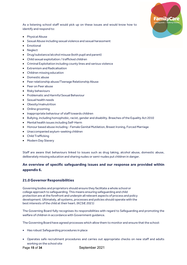

As a listening school staff would pick up on these issues and would know how to identify and respond to:

- Physical Abuse
- Sexual Abuse including sexual violence and sexual harassment
- Emotional
- Neglect
- Drug/substance/alcohol misuse (both pupil and parent)
- Child sexual exploitation / trafficked children
- Criminal Exploitation including county lines and serious violence
- Extremism and Radicalisation
- Children missing education
- Domestic abuse
- Peer relationship abuse/Teenage Relationship Abuse
- Peer on Peer abuse
- Risky behaviours
- Problematic and Harmful Sexual Behaviour
- Sexual health needs
- Obesity/malnutrition
- Online grooming
- Inappropriate behaviour of staff towards children
- Bullying, including homophobic, racist, gender and disability. Breaches of the Equality Act 2010
- Mental health issues including Self-Harm
- Honour based abuse including Female Genital Mutilation, Breast Ironing, Forced Marriage
- Unaccompanied asylum-seeking children
- Child Trafficking
- Modern Day Slavery

Staff are aware that behaviours linked to issues such as drug taking, alcohol abuse, domestic abuse, deliberately missing education and sharing nudes or semi-nudes put children in danger.

# **An overview of specific safeguarding issues and our response are provided within appendix 6.**

# **21.0 Governor Responsibilities**

Governing bodies and proprietors should ensure they facilitate a whole school or college approach to safeguarding. This means ensuring safeguarding and child protection are at the forefront and underpin all relevant aspects of process and policy development. Ultimately, all systems, processes and policies should operate with the best interests of the child at their heart. (KCSiE 2021)

The Governing Board fully recognises its responsibilities with regard to Safeguarding and promoting the welfare of children in accordance with Government guidance.

The Governing Board have agreed processes which allow them to monitor and ensure that the school:

- Has robust Safeguarding procedures in place
- Operates safe recruitment procedures and carries out appropriate checks on new staff and adults working on the school site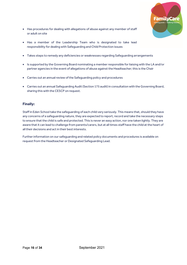

- Has procedures for dealing with allegations of abuse against any member of staff or adult on site
- Has a member of the Leadership Team who is designated to take lead responsibility for dealing with Safeguarding and Child Protection issues
- Takes steps to remedy any deficiencies or weaknesses regarding Safeguarding arrangements
- Is supported by the Governing Board nominating a member responsible for liaising with the LA and/or partner agencies in the event of allegations of abuse against the Headteacher; this is the Chair
- Carries out an annual review of the Safeguarding policy and procedures
- Carries out an annual Safeguarding Audit (Section 175 audit) in consultation with the Governing Board, sharing this with the CESCP on request.

# **Finally:**

Staff in Eden School take the safeguarding of each child very seriously. This means that, should they have any concerns of a safeguarding nature, they are expected to report, record and take the necessary steps to ensure that the child is safe and protected. This is never an easy action, nor one taken lightly. They are aware that it can lead to challenge from parents/carers, but at all times staff have the child at the heart of all their decisions and act in their best interests.

Further information on our safeguarding and related policy documents and procedures is available on request from the Headteacher or Designated Safeguarding Lead.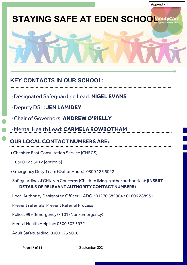# **STAYING SAFE AT EDEN SCHOOLamilycare**



# **KEY CONTACTS IN OUR SCHOOL:**

- ·Designated Safeguarding Lead: **NIGEL EVANS**
- ·Deputy DSL: **JEN LAMIDEY**
- ·Chair of Governors: **ANDREW O'RIELLY**
- ·Mental Health Lead: **CARMELA ROWBOTHAM**

**OUR LOCAL CONTACT NUMBERS ARE:**

- Cheshire East Consultation Service (CHECS):
	- 0300 123 5012 (option 3)
- •Emergency Duty Team (Out of Hours): 0300 123 5022
- · Safeguarding of Children Concerns (Children living in other authorities): **(INSERT DETAILS OF RELEVANT AUTHORITY CONTACT NUMBERS)**
- · Local Authority Designated Officer (LADO): 01270 685904 / 01606 288931
- · Prevent referrals: [Prevent Referral Process](http://www.stopadultabuse.org.uk/professionals/preventchannel-referral-process.aspx)
- · Police: 999 (Emergency) / 101 (Non-emergency)
- · Mental Health Helpline: 0300 303 3972
- · Adult Safeguarding: 0300 123 5010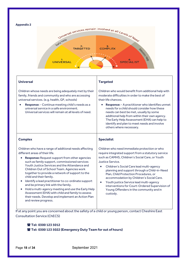#### **Appendix 2**



## **Universal**

Children whose needs are being adequately met by their family, friends and community and who are accessing universal services. (e.g. health, GP, schools)

• **Response**: - Continue meeting child's needs as a universal service in a safe environment. Universal services will remain at all levels of need.

#### **Complex**

Children who have a range of additional needs affecting different areas of their life.

- **Response:** Request support from other agencies such as family support, commissioned services Youth Justice Services and the Attendance and Children Out of School Team. Agencies work together to provide a network of support to the child and their family.
- Identify a lead practitioner to co-ordinate support and be primary link with the family.
- Hold a multi-agency meeting and use the Early Help Assessment (EHA) with child and family to assess their needs. Develop and implement an Action Plan and review progress.

## **Targeted**

Children who would benefit from additional help with moderate difficulties in order to make the best of their life chances.

• **Response:** - A practitioner who identifies unmet needs for a child should consider how these needs can best be met, usually by some additional help from within their own agency. The Early Help Assessment (EHA) can help to identify and plan to meet needs and involve others where necessary.

## **Specialist**

Children who need immediate protection or who require integrated support from a statutory service such as CAMHS, Children's Social Care, or Youth Justice Service.

- Children's Social Care lead multi-agency planning and support through a Child-in-Need Plan, Child Protection Procedures, or accommodation by Children's Social Care.
- Youth justice Service lead multi-agency interventions for Court-Ordered Supervision of Young Offenders in the community and in custody.

If at any point you are concerned about the safety of a child or young person, contact Cheshire East Consultation Service (ChECS)

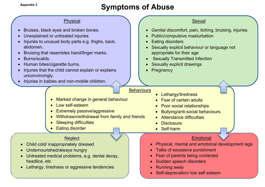# Appendix 3<br>**Appendix 3**<br>**Appendix 3**<br>**Appendix 3**

# Physical

- Bruises, black eyes and broken bones.
- Unexplained or untreated injuries.
- Injuries to unusual body parts e.g. thighs, back, abdomen.
- Bruising that resembles hand/finger marks.
- Burns/scalds.
- Human bites/cigarette burns.
- Injuries that the child cannot explain or explains unconvincingly.
- Injuries in babies and non-mobile children.

# **Sexual**

- Genital discomfort, pain, itching, bruising, injuries.
- Public/compulsive masturbation
- **Eating disorders**
- Sexually explicit behaviour or language not appropriate for their age
- **Sexually Transmitted Infection**
- Sexually explicit drawings
- **Pregnancy**

# **Behaviours**

- Lethargy/tiredness
- Fear of certain adults
- Poor social relationships
- Bullying/anti-social behaviours
- Attendance difficulties
- **Disclosure**
- Self-harm

# **Emotional**

- Physical, mental and emotional development lags
- Talks of excessive punishment
- Fear of parents being contacted
- Sudden speech disorders
- Running away
- Self-deprecation/ low self esteem

# • Marked change in general behaviour

- Low self-esteem
- Extremely passive/aggressive
- Withdrawn/withdrawal from family and friends
- **Sleeping difficulties**
- **Eating disorder**

# **Neglect**

- Child cold/ inappropriately dressed
- Undernourished/always hungry
- Untreated medical problems, e.g. dental decay, headlice, etc
- **Lethargy, tiredness or aggressive tendencies**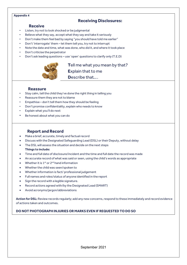## **Appendix 4**

# **Receiving Disclosures:**

# **Receive**

- Listen, try not to look shocked or be judgmental
- Believe what they say, accept what they say and take it seriously
- Don't make them feel bad by saying "you should have told me earlier"
- Don't 'interrogate' them let them tell you, try not to interrupt
- Note the date and time, what was done, who did it, and where it took place
- Don't criticise the perpetrator
- Don't ask leading questions use 'open' questions to clarify only (T.E.D)



# **T**ell me what you mean by that?

**E**xplain that to me **D**escribe that….

# **Reassure**

- Stay calm, tell the child they've done the right thing in telling you
- Reassure them they are not to blame
- Empathise don't tell them how they should be feeling
- Don't promise confidentiality, explain who needs to know
- Explain what you'll do next
- Be honest about what you can do

# **Report and Record**

- Make a brief, accurate, timely and factual record
- Discuss with the Designated Safeguarding Lead (DSL) or their Deputy, without delay
- The DSL will assess the situation and decide on the next steps

## **Things to include:**

- Time and full date of disclosure/incident and the time and full date the record was made
- An accurate record of what was said or seen, using the child's words as appropriate
- Whether it is  $1^{st}$  or  $2^{nd}$  hand information
- Whether the child was seen/spoken to
- Whether information is fact/ professional judgement
- Full names and roles/status of anyone identified in the report
- Sign the record with a legible signature.
- Record actions agreed with/by the Designated Lead (SMART)
- Avoid acronyms/jargon/abbreviations

Action for DSL: Review records regularly; add any new concerns, respond to these immediately and record evidence of actions taken and outcomes.

# **DO NOT PHOTOGRAPH INJURIES OR MARKS EVEN IF REQUESTED TO DO SO**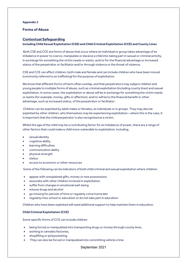## **Appendix 5**

# **Forms of Abuse**

## **Contextual Safeguarding**

## **Including Child Sexual Exploitation (CSE) and Child Criminal Exploitation (CCE) and County Lines**

Both CSE and CCE are forms of abuse that occur where an individual or group takes advantage of an imbalance in power to coerce, manipulate or deceive a child into taking part in sexual or criminal activity, in exchange for something the victim needs or wants, and/or for the financial advantage or increased status of the perpetrator or facilitator and/or through violence or the threat of violence.

CSE and CCE can affect children, both male and female and can include children who have been moved (commonly referred to as trafficking) for the purpose of exploitation.

We know that different forms of harm often overlap, and that perpetrators may subject children and young people to multiple forms of abuse, such as criminal exploitation (including county lines) and sexual exploitation. In some cases, the exploitation or abuse will be in exchange for something the victim needs or wants (for example, money, gifts or affection), and/or will be to the financial benefit or other advantage, such as increased status, of the perpetrator or facilitator.

Children can be exploited by adult males or females, as individuals or in groups. They may also be exploited by other children, who themselves may be experiencing exploitation – where this is the case, it is important that the child perpetrator is also recognised as a victim.

Whilst the age of the child may be a contributing factor for an imbalance of power, there are a range of other factors that could make a child more vulnerable to exploitation, including,

- sexual identity
- cognitive ability
- learning difficulties
- communication ability
- physical strength
- status
- access to economic or other resources

Some of the following can be indicators of both child criminal and sexual exploitation where children:

- appear with unexplained gifts, money or new possessions
- associate with other children involved in exploitation
- suffer from changes in emotional well-being
- misuse drugs and alcohol
- go missing for periods of time or regularly come home late
- regularly miss school or education or do not take part in education

Children who have been exploited will need additional support to help maintain them in education.

## **Child Criminal Exploitation (CCE)**

Some specific forms of CCE can include children

- being forced or manipulated into transporting drugs or money through county lines,
- working in cannabis factories,
- shoplifting or pickpocketing.
- They can also be forced or manipulated into committing vehicle crime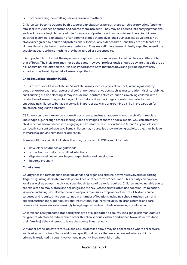• or threatening/committing serious violence to others.

Children can become trapped by this type of exploitation as perpetrators can threaten victims (and their families) with violence or entrap and coerce them into debt. They may be coerced into carrying weapons such as knives or begin to carry a knife for a sense of protection from harm from others. As children involved in criminal exploitation often commit crimes themselves, their vulnerability as victims is not always recognised by adults and professionals, (particularly older children), and they are not treated as victims despite the harm they have experienced. They may still have been criminally exploited even if the activity appears to be something they have agreed or consented to.

It is important to note that the experience of girls who are criminally exploited can be very different to that of boys. The indicators may not be the same, however professionals should be aware that girls are at risk of criminal exploitation too. It is also important to note that both boys and girls being criminally exploited may be at higher risk of sexual exploitation.

## **Child Sexual Exploitation (CSE).**

CSE is a form of child sexual abuse. Sexual abuse may involve physical contact, including assault by penetration (for example, rape or oral sex) or nonpenetrative acts such as masturbation, kissing, rubbing, and touching outside clothing. It may include non-contact activities, such as involving children in the production of sexual images, forcing children to look at sexual images or watch sexual activities, encouraging children to behave in sexually inappropriate ways or grooming a child in preparation for abuse including via the internet.

CSE can occur over time or be a one-off occurrence, and may happen without the child's immediate knowledge e.g.,through others sharing videos or images of them on social media. CSE can affect any child, who has been coerced into engaging in sexual activities. This includes 16- and 17-year-olds who can legally consent to have sex. Some children may not realise they are being exploited e.g. they believe they are in a genuine romantic relationship.

Some additional specific indicators that may be present in CSE are children who:

- have older boyfriends or girlfriends
- suffer from sexually transmitted infections
- display sexual behaviours beyond expected sexual development
- become pregnant

## **County lines.**

County lines is a term used to describe gangs and organised criminal networks involved in exporting illegal drugs using dedicated mobile phone lines or other form of "deal line". This activity can happen locally as well as across the UK - no specified distance of travel is required. Children and vulnerable adults are exploited to move, store and sell drugs and money. Offenders will often use coercion, intimidation, violence (including sexual violence) and weapons to ensure compliance of victims. Children can be targeted and recruited into county lines in a number of locations including schools (mainstream and special), further and higher educational institutions, pupil referral units, children's homes and care homes. Children are also increasingly being targeted and recruited online using social media.

Children can easily become trapped by this type of exploitation as county lines gangs can manufacture drug debts which need to be worked off or threaten serious violence and kidnap towards victims (and their families) if they attempt to leave the county lines network.

A number of the indicators for CSE and CCE as detailed above may be applicable to where children are involved in county lines. Some additional specific indicators that may be present where a child is criminally exploited through involvement in county lines are children who: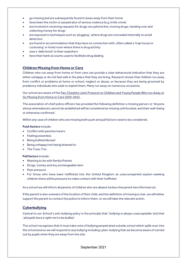- go missing and are subsequently found in areas away from their home
- have been the victim or perpetrator of serious violence (e.g. knife crime)
- are involved in receiving requests for drugs via a phone line, moving drugs, handing over and collecting money for drugs
- are exposed to techniques such as 'plugging', where drugs are concealed internally to avoid detection
- are found in accommodation that they have no connection with, often called a 'trap house or cuckooing' or hotel room where there is drug activity
- owe a 'debt bond' to their exploiters
- have their bank accounts used to facilitate drug dealing

# **Children Missing from Home or Care**

Children who run away from home or from care can provide a clear behavioural indication that they are either unhappy or do not feel safe in the place that they are living. Research shows that children run away from conflict or problems at home or school, neglect or abuse, or because they are being groomed by predatory individuals who seek to exploit them. Many run away on numerous occasions.

Our school are aware of th[e Pan-Cheshire Joint Protocol on Children and Young People Who run Away or](https://www.cescp.org.uk/professionals/missing-from-home.aspx)  [Go Missing from Home or Care 2020-2022.](https://www.cescp.org.uk/professionals/missing-from-home.aspx)

The association of chief police officers has provided the following definition a missing person is: 'Anyone whose whereabouts cannot be established will be considered as missing until located, and their well-being or otherwise confirmed'.

Within any case of children who are missing both push and pull factors need to be considered.

#### **Push factors** include:

- Conflict with parents/carers
- Feeling powerless
- Being bullied/abused
- Being unhappy/not being listened to
- The Toxic Trio

## **Pull factors** include:

- Wanting to be with family/friends
- Drugs, money and any exchangeable item
- Peer pressure
- For those who have been trafficked into the United Kingdom as unaccompanied asylum-seeking children there will be pressure to make contact with their trafficker

As a school we will inform all parents of children who are absent (unless the parent has informed us).

If the parent is also unaware of the location of their child, and the definition of missing is met, we will either support the parent to contact the police to inform them, or we will take the relevant action.

# **Cyberbullying**

Central to our School's anti-bullying policy is the principle that 'bullying is always unacceptable' and that ' all pupils have a right not to be bullied.

The school recognises that it must take note of bullying perpetrated outside school which spills over into the school and so we will respond to any bullying including cyber-bullying that we become aware of carried out by pupils when they are away from the site.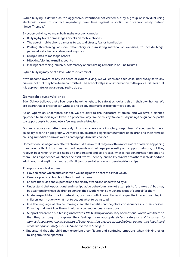Cyber-bullying is defined as "an aggressive, intentional act carried out by a group or individual using electronic forms of contact repeatedly over time against a victim who cannot easily defend himself/herself."

By cyber-bullying, we mean bullying by electronic media:

- Bullying by texts or messages or calls on mobile phones
- The use of mobile phone cameras to cause distress, fear or humiliation
- Posting threatening, abusive, defamatory or humiliating material on websites, to include blogs, personal websites, social networking sites
- Using e-mail to message others
- Hijacking/cloning e-mail accounts
- Making threatening, abusive, defamatory or humiliating remarks in on-line forums

Cyber-bullying may be at a level where it is criminal.

If we become aware of any incidents of cyberbullying, we will consider each case individually as to any criminal act that may have been committed. The school will pass on information to the police if it feels that it is appropriate, or we are required to do so.

## **Domestic abuse/violence**

Eden School believes that all our pupils have the right to be safe at school and also in their own homes. We are aware that all children can witness and be adversely affected by domestic abuse.

As an Operation Encompass school, we are alert to the indicators of abuse, and we have a planned approach to supporting children in a proactive way. We do this by We do this by using the guidance packs to support pupils to complete a feelings and safety plan.

Domestic abuse can affect anybody; it occurs across all of society, regardless of age, gender, race, sexuality, wealth or geography. Domestic abuse affects significant numbers of children and their families causing immediate harm as well as damaging future life chances.

Domestic abuse negatively affects children. We know that they are often more aware of what is happening than parents think. How they respond depends on their age, personality and support network; but they recover best when they are helped to understand and to process what is happening/has happened to them.Their experiences will shape their self-worth, identity, and ability to relate to others in childhood and adulthood; making it much more difficult to succeed at school and develop friendships.

To support our children, we:

- Have an ethos which puts children's wellbeing at the heart of all that we do
- Create a predictable school life with set routines
- Ensure that rules and expectations are clearly stated and understood by all
- Understand that oppositional and manipulative behaviours are not attempts to 'provoke us', but may be attempts by these children to control their world when so much feels out of control for them
- Model respectful and caring behaviour, positive conflict resolution and respectful interactions. Helping children learn not only what not to do, but what to do instead
- Use the language of choice, making clear the benefits and negative consequences of their choices. Ensuring that we follow through with any consequences or sanctions
- Support children to put feelings into words. We build up a vocabulary of emotional words with them so that they can begin to express their feelings more appropriately/accurately (A child exposed to domestic abuse may have seen a lot of behaviours that express strong feelings, but may not have heard words to appropriately express/ describe these feelings)
- Understand that the child may experience conflicting and confusing emotions when thinking of or talking about their parents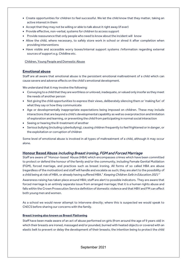- Create opportunities for children to feel successful. We let the child know that they matter, taking an active interest in them
- Accept that they may not be willing or able to talk about it right away (if ever)
- Provide effective, non-verbal, systems for children to access support
- Provide reassurance that only people who need to know about the incident will know
- Allow the child, where necessary, to safely store work in school or shred it after completion when providing interventions
- Have visible and accessible worry boxes/internal support systems /information regarding external sources of support e.g. Childline etc.

[Children, Young People and Domestic Abuse](https://www.cheshireeast.gov.uk/livewell/staying-safe/domestic-abuse-and-sexual-violence/domestic-abuse-tools-and-resources.aspx)

# **Emotional abuse**

Staff are all aware that emotional abuse is the persistent emotional maltreatment of a child which can cause severe and adverse effects on the child's emotional development.

We understand that it may involve the following:

- Conveying to a child that they are worthless or unloved, inadequate, or valued only insofar as they meet the needs of another person
- Not giving the child opportunities to express their views, deliberately silencing them or 'making fun' of what they say or how they communicate
- Age or developmentally inappropriate expectations being imposed on children. These may include interactions that are beyond a child's developmental capability as well as overprotection and limitation of exploration and learning, or preventing the child from participating in normal social interaction
- Seeing or hearing the ill-treatment of another
- Serious bullying (including cyberbullying), causing children frequently to feel frightened or in danger, or the exploitation or corruption of children

Some level of emotional abuse is involved in all types of maltreatment of a child, although it may occur alone.

# **Honour Based Abuse** including Breast ironing, FGM and Forced Marriage

Staff are aware of "Honour-based' Abuse (HBA) which encompasses crimes which have been committed to protect or defend the honour of the family and/or the community, including Female Genital Mutilation (FGM), forced marriage, and practices such as breast ironing. All forms of so called HBA are abuse (regardless of the motivation) and staff will handle and escalate as such; they are alert to the possibility of a child being at risk of HBA, or already having suffered HBA." Keeping Children Safe in Education 2021"

Awareness raising has taken place around HBA; staff are alert to possible indicators. They are aware that forced marriage is an entirely separate issue from arranged marriage; that it is a human rights abuse and falls within the Crown Prosecution Service definition of domestic violence and that HBV and FM can affect both young men and women.

As a school we would never attempt to intervene directly; where this is suspected we would speak to ChECS before sharing our concerns with the family.

## **Breast ironing also known as Breast Flattening**

Staff have been made aware of an act of abuse performed on girls (from around the age of 9 years old) in which their breasts are ironed, massaged and/or pounded, burned with heated objects or covered with an elastic belt to prevent or delay the development of their breasts; the intention being to protect the child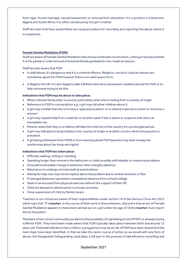from rape, forced marriage, sexual harassment or removal from education. It is a practice in Cameroon, Nigeria and South Africa. It is often carried out by the girl's mother.

Staff are clear that they would follow our usual procedure for recording and reporting this abuse where it is suspected**.**

## **Female Genital Mutilation (FGM)**

Staff are aware of Female Genital Mutilation (also known as female circumcision, cutting or Sunna) and that it is the partial or total removal of external female genitalia for non-medical reasons.

Staff are also aware that FGM

- Is child abuse; it's dangerous and it is a criminal offence. Religious, social or cultural reasons are sometimes given for FGM however there is no valid reason for it.
- Is illegal in the UK. It's also illegal to take a British national or permanent resident abroad for FGM or to help someone trying to do this.

## **Indications that FGM may be about to take place:**

- When a female family elder is around, particularly when she is visiting from a country of origin.
- Reference to FGM in conversation e.g. a girl may tell other children about it.
- A girl may confide that she is to have a 'special procedure' or to attend a special occasion to 'become a woman'.
- A girl may request help from a teacher or another adult if she is aware or suspects that she is at immediate risk.
- Parents state that they or a relative will take the child out of the country for a prolonged period.
- A girl may talk about a long holiday to her country of origin or another country where the practice is prevalent.
- A girl being withdrawn from PSHE or from learning about FGM (parents may wish to keep her uninformed about her body and rights)

## **Indications that FGM has taken place:**

- Difficulty walking, sitting or standing
- Spending longer than normal in the bathroom or toilet possibly with bladder or menstrual problems
- Unusual/a noticeable change in behaviour after a lengthy absence
- Reluctance to undergo normal medical examinations
- Asking for help, but may not be explicit about the problem due to embarrassment or fear
- Prolonged absences/ persistent unexplained absence from school/college
- Seek to be excused from physical exercise without the support of their GP
- Child not allowed to attend extra-curricular activities
- Close supervision of child by family/carers

Teachers in our school are aware of their responsibilities under section 74 of the Serious Crime Act 2015 which says that "If a **teacher**, in the course of their work in the profession, discovers that an act of Female Genital Mutilation appears to have been carried out on a girl under the age of 18 the **teacher** must report this to the police".

Members of our school community are alert to the possibility of a girl being at risk of FGM, or already having suffered FGM. They have been made aware that FGM typically takes place between birth and around 15 years old. Potential indicators that a child or young person may be at risk of FGM have been shared and the next steps have been identified, in that we take the same course of action as we would with any form of abuse; the Designated Safeguarding Lead plays a full part in the process of identification recording and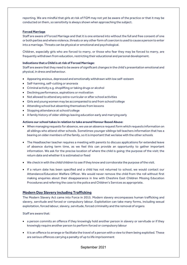reporting. We are mindful that girls at risk of FGM may not yet be aware of the practice or that it may be conducted on them, so sensitivity is always shown when approaching the subject.

## **Forced Marriage**

Staff are aware of Forced Marriage and that it is one entered into without the full and free consent of one or both parties and where violence, threats or any other form of coercion is used to cause a person to enter into a marriage. Threats can be physical or emotional and psychological.

Children, especially girls who are forced to marry, or those who fear they may be forced to marry, are frequently withdrawn from education, restricting their educational and personal development.

## **Indications that a Child is at risk of Forced Marriage:**

Staff are aware that they need to be aware of significant changes in the child's presentation emotional and physical, in dress and behaviour.

- Appearing anxious, depressed and emotionally withdrawn with low self-esteem
- Self-harming, self-cutting or anorexia
- Criminal activity e.g. shoplifting or taking drugs or alcohol
- Declining performance, aspirations or motivation
- Not allowed to attend any extra-curricular or after school activities
- Girls and young women may be accompanied to and from school/college
- Attending school but absenting themselves from lessons
- Stopping attendance at school/college
- A family history of older siblings leaving education early and marrying early

## **Actions our school takes in relation to take around Honour Based Abuse:**

- When managing requests for absence, we use an absence request form which requests information on all siblings who attend other schools. Sometimes younger siblings tell teachers information that has a bearing on older members of the family, so it is important that we liaise with the other schools
- The Headteacher teacher requires a meeting with parents to discuss applications for extended leave of absence during term time, as we feel this can provide an opportunity to gather important information. We ask for the precise location of where the child is going; the purpose of the visit; the return date and whether it is estimated or fixed
- We check in with the child/children to see if they know and corroborate the purpose of the visit.
- If a return date has been specified and a child has not returned to school, we would contact our Attendance/Education Welfare Officer. We would never remove the child from the roll without first making enquiries about their disappearance in line with Cheshire East Children Missing Education Procedures and referring the case to the police and Children's Services as appropriate.

## **Modern Day Slavery including Trafficking**

The Modern Slavery Act came into Force in 2015. Modern slavery encompasses human trafficking and slavery, servitude and forced or compulsory labour. Exploitation can take many forms, including sexual exploitation, forced labour, slavery, servitude, forced criminality and the removal of organs

Staff are aware that:

- a person commits an offence if they knowingly hold another person in slavery or servitude or if they knowingly require another person to perform forced or compulsory labour
- it is an offence to arrange or facilitate the travel of a person with a view to them being exploited. These are serious offences carrying a penalty of up to life imprisonment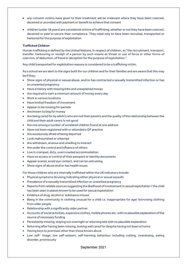- any consent victims have given to their treatment will be irrelevant where they have been coerced, deceived or provided with payment or benefit to achieve that consent
- children (under 18 years) are considered victims of trafficking, whether or not they have been coerced, deceived or paid to secure their compliance. They need only to have been recruited, transported or harbored for the purpose of exploitation

## **Trafficked Children**

Human trafficking is defined by the United Nations, in respect of children, as "the recruitment, transport, transfer, harbouring or receipt of a person by such means as threat or use of force or other forms of coercion, of abduction, of fraud or deception for the purpose of exploitation."

Any child transported for exploitative reasons is considered to be a trafficking victim.

As a school we are alert to the signs both for our children and for their families and are aware that this may be if they:

- Show signs of physical or sexual abuse, and/or has contracted a sexually transmitted infection or has an unwanted pregnancy
- Have a history with missing links and unexplained moves
- Are required to earn a minimum amount of money every day
- Work in various locations
- Have limited freedom of movement
- Appear to be missing for periods
- Are known to beg for money
- Are being cared for by adult/s who are not their parents and the quality of the relationship between the child and their adult carers is not good
- Are one among a number of unrelated children found at one address
- Have not been registered with or attended a GP practice
- Are excessively afraid of being deported
- Look malnourished or unkempt
- Are withdrawn, anxious and unwilling to interact
- Are under the control and influence of others
- Live in cramped, dirty, overcrowded accommodation
- Have no access or control of their passport or identity documents
- Appear scared, avoid eye contact, and can be untrusting
- Show signs of abuse and/or has health issues

For those children who are internally trafficked within the UK indicators include:

- Physical symptoms (bruising indicating either physical or sexual assault)
- Prevalence of a sexually transmitted infection or unwanted pregnancy
- Reports from reliable sources suggesting the likelihood of involvement in sexual exploitation / the child has been seen in places known to be used for sexual exploitation
- Evidence of drug, alcohol or substance misuse
- Being in the community in clothing unusual for a child i.e. inappropriate for age/ borrowing clothing from older people
- Relationship with a significantly older partner
- Accounts of social activities, expensive clothes, mobile phones etc. with no plausible explanation of the source of necessary funding
- Persistently missing, staying out overnight or returning late with no plausible explanation
- Returning after having been missing, looking well cared for despite having not been at home
- Having keys to premises other than those known about
- Low self- image, low self-esteem, self-harming behaviour including cutting, overdosing, eating disorder, promiscuity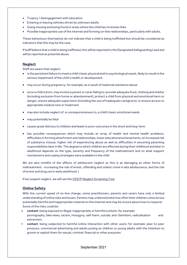- Truancy / disengagement with education
- Entering or leaving vehicles driven by unknown adults
- Going missing and being found in areas where the child has no known links
- Possible inappropriate use of the internet and forming on-line relationships, particularly with adults.

These behaviours themselves do not indicate that a child is being trafficked but should be considered as indicators that this may be the case.

If staff believe that a child is being trafficked, this will be reported to the Designated Safeguarding Lead and will be reported as potential abuse.

## **Neglect**

Staff are aware that neglect:

- is the persistent failure to meet a child's basic physical and/or psychological needs, likely to result in the serious impairment of the child's health or development
- may occur during pregnancy, for example, as a result of maternal substance abuse
- once a child is born, may involve a parent or carer failing to: provide adequate food, clothing and shelter (including exclusion from home or abandonment); protect a child from physical and emotional harm or danger; ensure adequate supervision (including the use of inadequate caregivers); or ensure access to appropriate medical care or treatment
- may also include neglect of, or unresponsiveness to, a child's basic emotional needs
- may potentially be fatal
- causes great distress to children and leads to poor outcomes in the short and long-term
- has possible consequences which may include an array of health and mental health problems, difficulties in forming attachment and relationships, lower educational achievements, an increased risk of substance misuse, higher risk of experiencing abuse as well as difficulties in assuming parenting responsibilities laterin life. The degree to which children are affected during their childhood and later in adulthood depends on the type, severity and frequency of the maltreatment and on what support mechanisms and coping strategies were available to the child

We are also mindful of the effects of adolescent neglect as this is as damaging as other forms of maltreatment - increasing the risk of arrest, offending and violent crime in late adolescence, and the risk of arrest and drug use in early adulthood. )

If we suspect neglect, we will use the CESCP [Neglect Screening Tool](https://www.cescp.org.uk/professionals/neglect.aspx)

## **Online Safety**

With the current speed of on-line change, some practitioners, parents and carers have only a limited understanding of online risks and issues. Parents may underestimate how often their children come across potentially harmful and inappropriate material on the internet and may be unsure about how to respond. Some of the risks could be:

- **content**: being exposed to illegal, inappropriate or harmful content, for example: pornography, fake news, racism, misogyny, self-harm, suicide, anti-Semitism, radicalisation and extremism.
- **contact**: being subjected to harmful online interaction with other users; for example: peer to peer pressure, commercial advertising and adults posing as children or young adults with the intention to groom or exploit them for sexual, criminal, financial or other purposes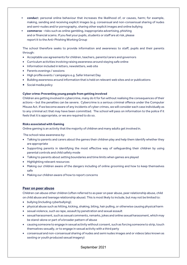- **conduc**t: personal online behaviour that increases the likelihood of, or causes, harm; for example, making, sending and receiving explicit images (e.g. consensual and non-consensual sharing of nudes and semi-nudes and/or pornography, sharing other explicit images and online bullying
- **commerce** risks such as online gambling, inappropriate advertising, phishing and or financial scams. If you feel your pupils, students or staff are at risk, please report it to the Anti-Phishing Working Group

The school therefore seeks to provide information and awareness to staff, pupils and their parents through:

- Acceptable use agreements for children, teachers, parents/carers and governors
- Curriculum activities involving raising awareness around staying safe online
- Information included in letters, newsletters, web site
- Parents evenings / sessions
- High profile events / campaigns e.g. Safer Internet Day
- Building awareness around information that is held on relevant web sites and or publications
- Social media policy

## **Cyber crime: Preventing young people from getting involved**

Children are getting involved in cybercrime, many do it for fun without realising the consequences of their actions – but the penalties can be severe. Cybercrime is a serious criminal offence under the Computer Misuse Act. If we become aware of any incidents of cyber crimes, we will consider each case individually as to any criminal act that may have been committed. The school will pass on information to the police if it feels that it is appropriate, or we are required to do so.

## **Risks associated with Gaming**

Online gaming is an activity that the majority of children and many adults get involved in.

The school raise awareness by:

- Talking to parents and carers about the games their children play and help them identify whether they are appropriate
- Supporting parents in identifying the most effective way of safeguarding their children by using parental controls and child safety mode
- Talking to parents about setting boundaries and time limits when games are played
- Highlighting relevant resources
- Making our children aware of the dangers including of online grooming and how to keep themselves safe
- Making our children aware of how to report concerns

## **Peer on peer abuse**

Children can abuse other children (often referred to as peer on peer abuse, peer relationship abuse, child on child abuse and teenage relationship abuse). This is most likely to include, but may not be limited to:

- bullying (including cyberbullying);
- physical abuse such as hitting, kicking, shaking, biting, hair pulling, or otherwise causing physical harm
- sexual violence, such as rape, assault by penetration and sexual assault
- sexual harassment, such as sexual comments, remarks, jokes and online sexual harassment, which may be stand-alone or part of a broader pattern of abuse
- causing someone to engage in sexual activity without consent, such as forcing someone to strip, touch themselves sexually, or to engage in sexual activity with a third party
- consensual and non-consensual sharing of nudes and semi nudes images and or videos (also known as sexting or youth produced sexual imagery)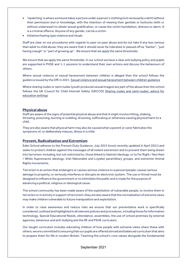- 'Upskirting' is where someone takes a picture under a person's clothing (not necessarily a skirt) without their permission and or knowledge, with the intention of viewing their genitals or buttocks (with or without underwear) to obtain sexual gratification, or cause the victim humiliation, distress or alarm. It is a criminal offence. Anyone of any gender, can be a victim.
- initiation/hazing type violence and rituals

Staff are clear on our procedures with regards to peer on peer abuse and do not take it any less serious than adult to child abuse; they are aware that it should never be tolerated or passed off as "banter", "just having a laugh" or "part of growing up". We ensure that we apply the same thresholds.

We ensure that we apply the same thresholds. In our school we have a clear anti bullying policy and pupils are supported in PHSE and 1-1 sessions to understand their own actions and discuss the behaviours of others.

Where sexual violence or sexual harassment between children is alleged then the school follows the guidance issued by the DfE in 2021[. Sexual violence and sexual harassment between children guidance](https://assets.publishing.service.gov.uk/government/uploads/system/uploads/attachment_data/file/719902/Sexual_violence_and_sexual_harassment_between_children_in_schools_and_colleges.pdf)

Where sharing nudes or semi nudes (youth produced sexual images) are part of the abuse then the school follows the UK Council for Child Internet Safety (UKCCIS) [Sharing nudes and semi-nudes: advice for](https://www.gov.uk/government/publications/sharing-nudes-and-semi-nudes-advice-for-education-settings-working-with-children-and-young-people/sharing-nudes-and-semi-nudes-advice-for-education-settings-working-with-children-and-young-people)  [education settings](https://www.gov.uk/government/publications/sharing-nudes-and-semi-nudes-advice-for-education-settings-working-with-children-and-young-people/sharing-nudes-and-semi-nudes-advice-for-education-settings-working-with-children-and-young-people)

## **Physical abuse**

Staff are aware of the signs of potential physical abuse and that it might involve hitting, shaking, throwing, poisoning, burning or scalding, drowning, suffocating or otherwise causing physical harm to a child.

They are also aware that physical harm may also be caused when a parent or carer fabricates the symptoms of, or deliberately induces, illness in a child.

# **Prevent, Radicalisation and Extremism**

Eden School adheres to the Prevent Duty Guidance, July 2015 (most recently updated in April 2021) and seeks to protect children against the messages of all violent extremism and to prevent them being drawn into terrorism; including, but not restricted to, those linked to Islamist ideology, or to Far Right / Neo Nazi / White Supremacist ideology, Irish Nationalist and Loyalist paramilitary groups, and extremist Animal Rights movements.

Terrorism is an action that endangers or causes serious violence to a person/people; causes serious damage to property; or seriously interferes or disrupts an electronic system. The use or threat must be designed to influence the government or to intimidate the public and is made for the purpose of advancing a political, religious or ideological cause.

The school community has been made aware of the exploitation of vulnerable people, to involve them in terrorism or in activity in support of terrorism; they are also aware that the normalisation of extreme views may make children vulnerable to future manipulation and exploitation.

In order to raise awareness and reduce risks we ensure that our preventative work is specifically considered, outlined and highlighted in all relevant policies and procedures, including those for Information technology, Special Educational Needs, attendance, assemblies, the use of school premises by external agencies, behaviour and anti-bullying and the RE and PSHE curriculum.

Our taught curriculum includes educating children of how people with extreme views share these with others; we are committed to ensuring that our pupils are offered a broad and balanced curriculum that aims to prepare them for life in modern Britain. Teaching the school's core values alongside the fundamental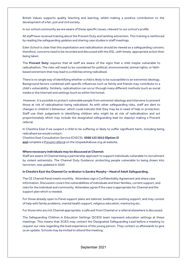British Values supports quality teaching and learning, whilst making a positive contribution to the development of a fair, just and civil society.

In our school community we are aware of these specific issues, relevant to our school's profile

All staff have received training about the Prevent Duty and tackling extremism. This training is reinforced by reading the safeguarding updates and sharing case studies in staff meetings.

Eden School is clear that this exploitation and radicalisation should be viewed as a safeguarding concern; therefore, concerns need to be recorded and discussed with the DSL; with timely, appropriate action then being taken.

The **Prevent Duty** requires that all staff are aware of the signs that a child maybe vulnerable to radicalisation. The risks will need to be considered for political; environmental; animal rights; or faithbased extremism that may lead to a child becoming radicalised.

There is no single way of identifying whether a child is likely to be susceptible to an extremist ideology. Background factors combined with specific influences such as family and friends may contribute to a child's vulnerability. Similarly, radicalisation can occur through many different methods (such as social media or the internet) and settings (such as within the home).

However, it is possible to protect vulnerable people from extremist ideology and intervene to prevent those at risk of radicalisation being radicalised. As with other safeguarding risks, staff are alert to changes in children's behaviour, which could indicate that they may be in need of help or protection. Staff use their judgement in identifying children who might be at risk of radicalisation and act proportionately which may include the designated safeguarding lead (or deputy) making a Prevent referral.

In Cheshire East if we suspect a child to be suffering or likely to suffer significant harm, including being radicalised we would contact:

Cheshire East Consultation Service (ChECS): **0300 123 5012 (Option 3)**

and complete a **Prevent referral** on the stopadultabuse.org.uk website.

#### **Where necessary individuals may be discussed at Channel:**

Staff are aware of Channel being a partnership approach to support individuals vulnerable to recruitment by violent extremists. The Channel Duty Guidance: protecting people vulnerable to being drawn into terrorism, was updated in 2020

#### **In Cheshire East the Channel Co-ordinator is Sandra Murphy – Head of Adult Safeguarding.**

The CE Channel Panel meets monthly. Attendees sign a Confidentiality Agreement and share case information. Discussion covers the vulnerabilities of individuals and their families, current support, and risks for the individual and community. Attendees agree if the case is appropriate for Channel and the support plan which is needed.

For those already open to Panel support plans are tailored, building on existing support, and may consist of help with family problems, mental health support, religious education, mentoring etc.

For those who are not Channel appropriate: a safe exit from Channel or a referral elsewhere is discussed.

The Safeguarding Children in Education Settings (SCiES) team represent education settings at these meetings. This means that SCiES may contact the Designated Safeguarding Lead before a meeting to request our view regarding the lived experience of the young person. They contact us afterwards to give us an update. Schools may be invited to attend the meeting.